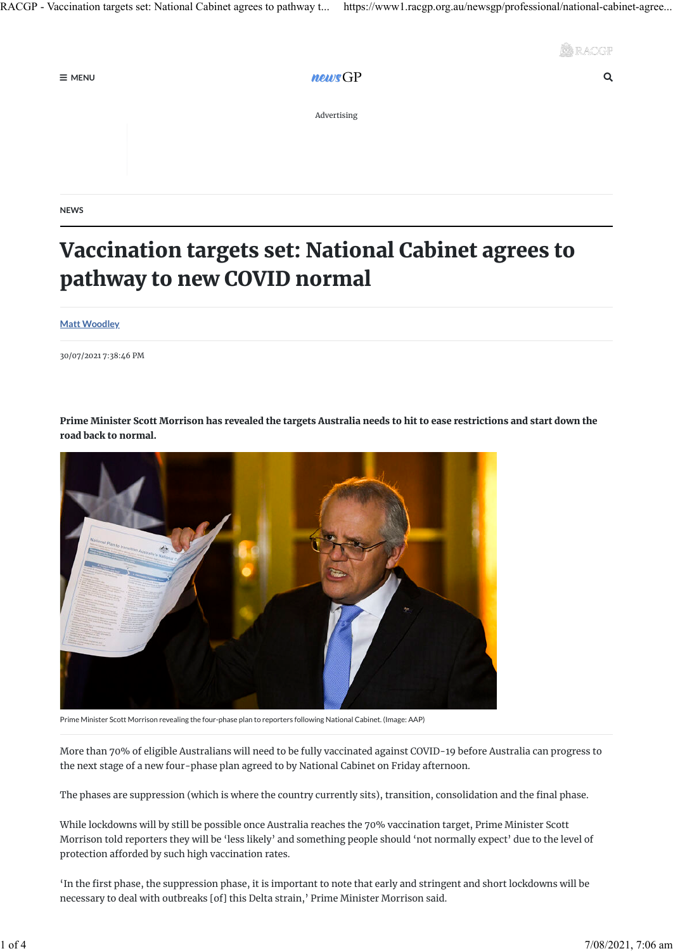

 $\equiv$  menu  $\equiv$  method is the set of  $\equiv$  method in  $\equiv$  method is  $\equiv$  method in  $\equiv$  method in  $\equiv$  method is  $\equiv$  method in  $\equiv$  method in  $\equiv$  method in  $\equiv$  method in  $\equiv$  method in  $\equiv$  method in  $\equiv$  method in  $\equiv$ 

Advertising

**NEWS**

## Vaccination targets set: National Cabinet agrees to pathway to new COVID normal

**[Matt Woodley](https://www1.racgp.org.au/newsgp/professional/national-cabinet-agrees-in-principle-to-pathway-to)**

30/07/2021 7:38:46 PM



Prime Minister Scott Morrison has revealed the targets Australia needs to hit to ease restrictions and start down the road back to normal.

Prime Minister Scott Morrison revealing the four-phase plan to reporters following National Cabinet. (Image: AAP)

More than 70% of eligible Australians will need to be fully vaccinated against COVID-19 before Australia can progress to the next stage of a new four-phase plan agreed to by National Cabinet on Friday afternoon.

The phases are suppression (which is where the country currently sits), transition, consolidation and the final phase.

While lockdowns will by still be possible once Australia reaches the 70% vaccination target, Prime Minister Scott Morrison told reporters they will be 'less likely' and something people should 'not normally expect' due to the level of protection afforded by such high vaccination rates.

'In the first phase, the suppression phase, it is important to note that early and stringent and short lockdowns will be necessary to deal with outbreaks [of] this Delta strain,' Prime Minister Morrison said.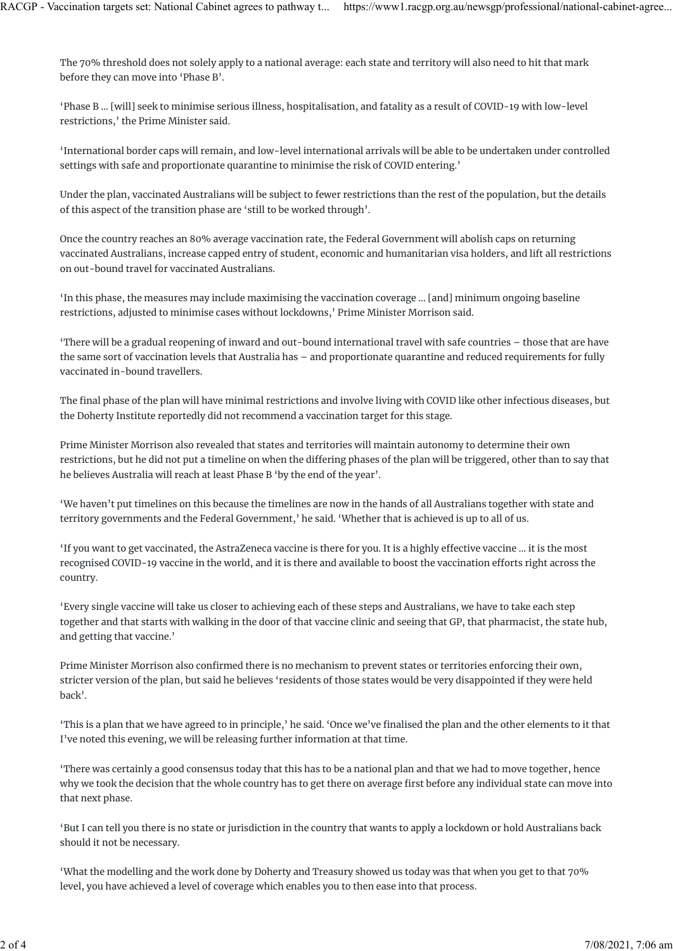The 70% threshold does not solely apply to a national average: each state and territory will also need to hit that mark before they can move into 'Phase B'.

'Phase B … [will] seek to minimise serious illness, hospitalisation, and fatality as a result of COVID-19 with low-level restrictions,' the Prime Minister said.

'International border caps will remain, and low-level international arrivals will be able to be undertaken under controlled settings with safe and proportionate quarantine to minimise the risk of COVID entering.'

Under the plan, vaccinated Australians will be subject to fewer restrictions than the rest of the population, but the details of this aspect of the transition phase are 'still to be worked through'.

Once the country reaches an 80% average vaccination rate, the Federal Government will abolish caps on returning vaccinated Australians, increase capped entry of student, economic and humanitarian visa holders, and lift all restrictions on out-bound travel for vaccinated Australians.

'In this phase, the measures may include maximising the vaccination coverage … [and] minimum ongoing baseline restrictions, adjusted to minimise cases without lockdowns,' Prime Minister Morrison said.

'There will be a gradual reopening of inward and out-bound international travel with safe countries – those that are have the same sort of vaccination levels that Australia has – and proportionate quarantine and reduced requirements for fully vaccinated in-bound travellers.

The final phase of the plan will have minimal restrictions and involve living with COVID like other infectious diseases, but the Doherty Institute reportedly did not recommend a vaccination target for this stage.

Prime Minister Morrison also revealed that states and territories will maintain autonomy to determine their own restrictions, but he did not put a timeline on when the di�ering phases of the plan will be triggered, other than to say that he believes Australia will reach at least Phase B 'by the end of the year'.

'We haven't put timelines on this because the timelines are now in the hands of all Australians together with state and territory governments and the Federal Government,' he said. 'Whether that is achieved is up to all of us.

'If you want to get vaccinated, the AstraZeneca vaccine is there for you. It is a highly e�ective vaccine … it is the most recognised COVID-19 vaccine in the world, and it is there and available to boost the vaccination efforts right across the country.

'Every single vaccine will take us closer to achieving each of these steps and Australians, we have to take each step together and that starts with walking in the door of that vaccine clinic and seeing that GP, that pharmacist, the state hub, and getting that vaccine.'

Prime Minister Morrison also confirmed there is no mechanism to prevent states or territories enforcing their own, stricter version of the plan, but said he believes 'residents of those states would be very disappointed if they were held back'.

'This is a plan that we have agreed to in principle,' he said. 'Once we've finalised the plan and the other elements to it that I've noted this evening, we will be releasing further information at that time.

'There was certainly a good consensus today that this has to be a national plan and that we had to move together, hence why we took the decision that the whole country has to get there on average first before any individual state can move into that next phase.

'But I can tell you there is no state or jurisdiction in the country that wants to apply a lockdown or hold Australians back should it not be necessary.

'What the modelling and the work done by Doherty and Treasury showed us today was that when you get to that 70% level, you have achieved a level of coverage which enables you to then ease into that process.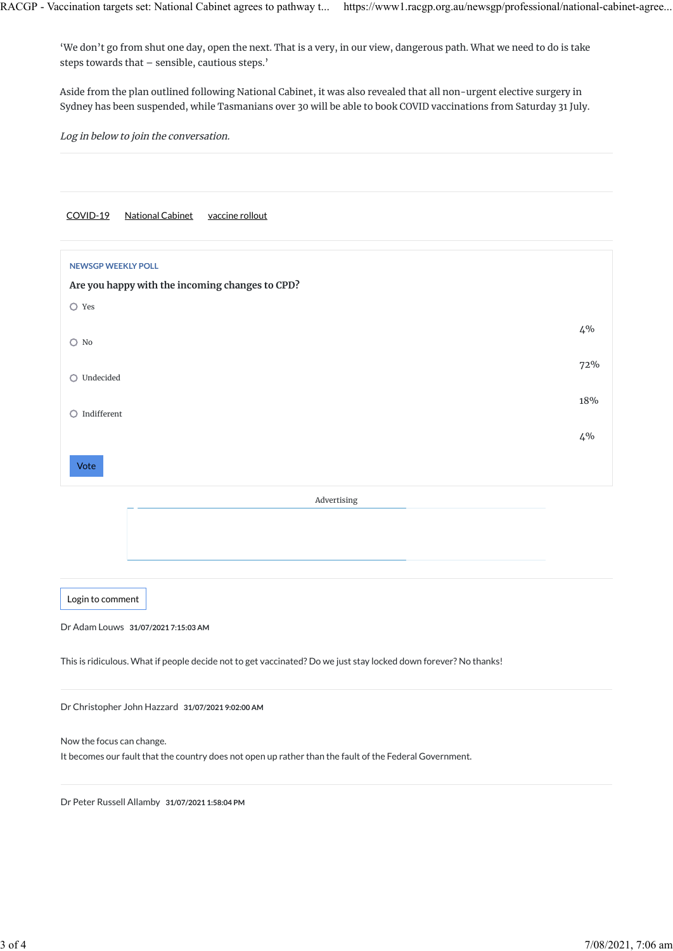'We don't go from shut one day, open the next. That is a very, in our view, dangerous path. What we need to do is take steps towards that – sensible, cautious steps.'

Aside from the plan outlined following National Cabinet, it was also revealed that all non-urgent elective surgery in Sydney has been suspended, while Tasmanians over 30 will be able to book COVID vaccinations from Saturday 31 July.

Log in below to join the conversation.

## [COVID-19](https://www1.racgp.org.au/newsgp/allnews?tagname=COVID-19) [National Cabinet](https://www1.racgp.org.au/newsgp/allnews?tagname=National%20Cabinet) [vaccine rollout](https://www1.racgp.org.au/newsgp/allnews?tagname=vaccine%20rollout)

| <b>NEWSGP WEEKLY POLL</b><br>Are you happy with the incoming changes to CPD? |       |
|------------------------------------------------------------------------------|-------|
| $O$ Yes                                                                      |       |
| $O$ No                                                                       | $4\%$ |
| Undecided<br>$\circ$                                                         | 72%   |
|                                                                              | 18%   |
| Indifferent<br>Ο                                                             | $4\%$ |
| Vote                                                                         |       |
|                                                                              |       |

Advertising

[Login to comment](https://www1.racgp.org.au/login?returnurl=/newsGP/Professional/National-Cabinet-agrees-in-principle-to-pathway-to)

Dr Adam Louws **31/07/2021 7:15:03 AM**

This is ridiculous. What if people decide not to get vaccinated? Do we just stay locked down forever? No thanks!

Dr Christopher John Hazzard **31/07/2021 9:02:00 AM**

Now the focus can change.

It becomes our fault that the country does not open up rather than the fault of the Federal Government.

Dr Peter Russell Allamby **31/07/2021 1:58:04 PM**